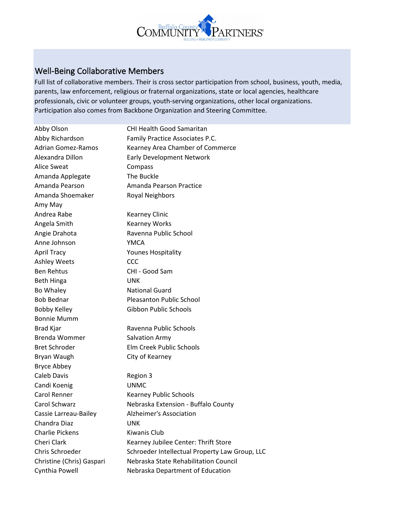

## Well-Being Collaborative Members

Full list of collaborative members. Their is cross sector participation from school, business, youth, media, parents, law enforcement, religious or fraternal organizations, state or local agencies, healthcare professionals, civic or volunteer groups, youth-serving organizations, other local organizations. Participation also comes from Backbone Organization and Steering Committee.

| Abby Olson                | <b>CHI Health Good Samaritan</b>               |  |
|---------------------------|------------------------------------------------|--|
| Abby Richardson           | Family Practice Associates P.C.                |  |
| <b>Adrian Gomez-Ramos</b> | Kearney Area Chamber of Commerce               |  |
| Alexandra Dillon          | <b>Early Development Network</b>               |  |
| <b>Alice Sweat</b>        | Compass                                        |  |
| Amanda Applegate          | The Buckle                                     |  |
| Amanda Pearson            | Amanda Pearson Practice                        |  |
| Amanda Shoemaker          | Royal Neighbors                                |  |
| Amy May                   |                                                |  |
| Andrea Rabe               | <b>Kearney Clinic</b>                          |  |
| Angela Smith              | <b>Kearney Works</b>                           |  |
| Angie Drahota             | Ravenna Public School                          |  |
| Anne Johnson              | <b>YMCA</b>                                    |  |
| <b>April Tracy</b>        | <b>Younes Hospitality</b>                      |  |
| <b>Ashley Weets</b>       | <b>CCC</b>                                     |  |
| <b>Ben Rehtus</b>         | CHI - Good Sam                                 |  |
| Beth Hinga                | <b>UNK</b>                                     |  |
| Bo Whaley                 | <b>National Guard</b>                          |  |
| <b>Bob Bednar</b>         | <b>Pleasanton Public School</b>                |  |
| <b>Bobby Kelley</b>       | Gibbon Public Schools                          |  |
| <b>Bonnie Mumm</b>        |                                                |  |
| Brad Kjar                 | Ravenna Public Schools                         |  |
| <b>Brenda Wommer</b>      | Salvation Army                                 |  |
| <b>Bret Schroder</b>      | Elm Creek Public Schools                       |  |
| Bryan Waugh               | City of Kearney                                |  |
| <b>Bryce Abbey</b>        |                                                |  |
| <b>Caleb Davis</b>        | Region 3                                       |  |
| Candi Koenig              | <b>UNMC</b>                                    |  |
| Carol Renner              | <b>Kearney Public Schools</b>                  |  |
| <b>Carol Schwarz</b>      | Nebraska Extension - Buffalo County            |  |
| Cassie Larreau-Bailey     | Alzheimer's Association                        |  |
| Chandra Diaz              | <b>UNK</b>                                     |  |
| <b>Charlie Pickens</b>    | Kiwanis Club                                   |  |
| Cheri Clark               | Kearney Jubilee Center: Thrift Store           |  |
| Chris Schroeder           | Schroeder Intellectual Property Law Group, LLC |  |
| Christine (Chris) Gaspari | Nebraska State Rehabilitation Council          |  |
| Cynthia Powell            | Nebraska Department of Education               |  |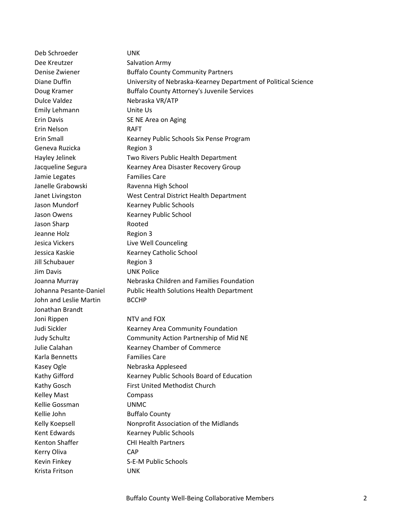Deb Schroeder UNK Dee Kreutzer Salvation Army Denise Zwiener **Buffalo County Community Partners** Diane Duffin University of Nebraska-Kearney Department of Political Science Doug Kramer **Buffalo County Attorney's Juvenile Services** Dulce Valdez Nebraska VR/ATP Emily Lehmann Unite Us Erin Davis **SE NE Area on Aging** Erin Nelson RAFT Erin Small Kearney Public Schools Six Pense Program Geneva Ruzicka<br>
Region 3 Hayley Jelinek Two Rivers Public Health Department Jacqueline Segura Kearney Area Disaster Recovery Group Jamie Legates Families Care Janelle Grabowski Ravenna High School Janet Livingston West Central District Health Department Jason Mundorf Kearney Public Schools Jason Owens **Kearney Public School** Jason Sharp **Rooted** Jeanne Holz Region 3 Jesica Vickers Live Well Counceling Jessica Kaskie Kearney Catholic School Jill Schubauer Region 3 Jim Davis UNK Police Joanna Murray Nebraska Children and Families Foundation Johanna Pesante-Daniel Public Health Solutions Health Department John and Leslie Martin BCCHP Jonathan Brandt Joni Rippen NTV and FOX Judi Sickler Kearney Area Community Foundation Judy Schultz Community Action Partnership of Mid NE Julie Calahan Kearney Chamber of Commerce Karla Bennetts Families Care Kasey Ogle Nebraska Appleseed Kathy Gifford **Kearney Public Schools Board of Education** Kathy Gosch First United Methodist Church Kelley Mast **Compass** Kellie Gossman UNMC Kellie John Buffalo County Kelly Koepsell **Nonprofit Association of the Midlands** Kent Edwards Kearney Public Schools Kenton Shaffer CHI Health Partners Kerry Oliva **CAP** Kevin Finkey S-E-M Public Schools Krista Fritson UNK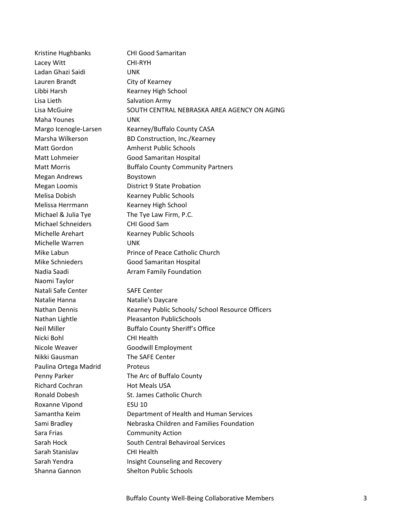| Kristine Hughbanks        | <b>CHI Good Samaritan</b>                        |  |
|---------------------------|--------------------------------------------------|--|
| Lacey Witt                | CHI-RYH                                          |  |
| Ladan Ghazi Saidi         | <b>UNK</b>                                       |  |
| Lauren Brandt             | City of Kearney                                  |  |
| Libbi Harsh               | Kearney High School                              |  |
| Lisa Lieth                | Salvation Army                                   |  |
| Lisa McGuire              | SOUTH CENTRAL NEBRASKA AREA AGENCY ON AGING      |  |
| Maha Younes               | <b>UNK</b>                                       |  |
| Margo Icenogle-Larsen     | Kearney/Buffalo County CASA                      |  |
| Marsha Wilkerson          | BD Construction, Inc./Kearney                    |  |
| Matt Gordon               | <b>Amherst Public Schools</b>                    |  |
| Matt Lohmeier             | Good Samaritan Hospital                          |  |
| <b>Matt Morris</b>        | <b>Buffalo County Community Partners</b>         |  |
| <b>Megan Andrews</b>      | Boystown                                         |  |
| Megan Loomis              | <b>District 9 State Probation</b>                |  |
| Melisa Dobish             | <b>Kearney Public Schools</b>                    |  |
| Melissa Herrmann          | Kearney High School                              |  |
| Michael & Julia Tye       | The Tye Law Firm, P.C.                           |  |
| <b>Michael Schneiders</b> | CHI Good Sam                                     |  |
| Michelle Arehart          | <b>Kearney Public Schools</b>                    |  |
| Michelle Warren           | <b>UNK</b>                                       |  |
| Mike Labun                | Prince of Peace Catholic Church                  |  |
| <b>Mike Schnieders</b>    | Good Samaritan Hospital                          |  |
| Nadia Saadi               | Arram Family Foundation                          |  |
| Naomi Taylor              |                                                  |  |
| Natali Safe Center        | <b>SAFE Center</b>                               |  |
| Natalie Hanna             | Natalie's Daycare                                |  |
| Nathan Dennis             | Kearney Public Schools/ School Resource Officers |  |
| Nathan Lightle            | <b>Pleasanton PublicSchools</b>                  |  |
| <b>Neil Miller</b>        | <b>Buffalo County Sheriff's Office</b>           |  |
| Nicki Bohl                | <b>CHI Health</b>                                |  |
| Nicole Weaver             | Goodwill Employment                              |  |
| Nikki Gausman             | The SAFE Center                                  |  |
| Paulina Ortega Madrid     | Proteus                                          |  |
| Penny Parker              | The Arc of Buffalo County                        |  |
| <b>Richard Cochran</b>    | <b>Hot Meals USA</b>                             |  |
| <b>Ronald Dobesh</b>      | St. James Catholic Church                        |  |
| Roxanne Vipond            | <b>ESU 10</b>                                    |  |
| Samantha Keim             | Department of Health and Human Services          |  |
| Sami Bradley              | Nebraska Children and Families Foundation        |  |
| Sara Frias                | <b>Community Action</b>                          |  |
| Sarah Hock                | South Central Behaviroal Services                |  |
| Sarah Stanislav           | <b>CHI Health</b>                                |  |
| Sarah Yendra              | Insight Counseling and Recovery                  |  |
| Shanna Gannon             | <b>Shelton Public Schools</b>                    |  |